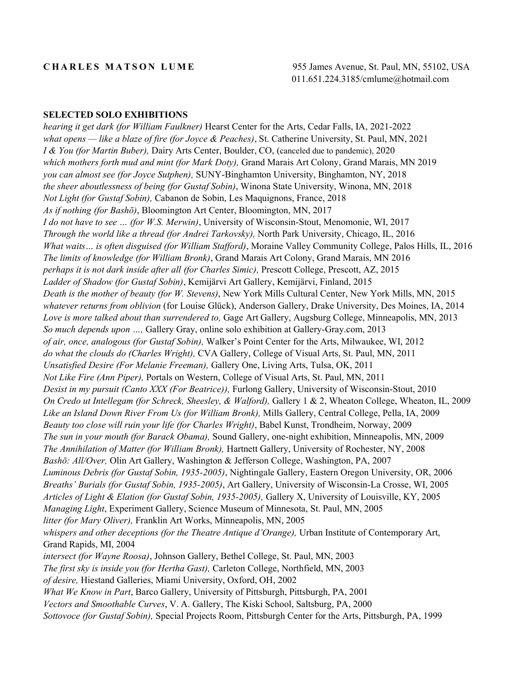#### **SELECTED SOLO EXHIBITIONS**

*hearing it get dark (for William Faulkner)* Hearst Center for the Arts, Cedar Falls, IA, 2021-2022 *what opens — like a blaze of fire (for Joyce & Peaches)*, St. Catherine University, St. Paul, MN, 2021 *I & You (for Martin Buber),* Dairy Arts Center, Boulder, CO, (canceled due to pandemic), 2020 *which mothers forth mud and mint (for Mark Doty),* Grand Marais Art Colony, Grand Marais, MN 2019 *you can almost see (for Joyce Sutphen),* SUNY-Binghamton University, Binghamton, NY, 2018 *the sheer aboutlessness of being (for Gustaf Sobin)*, Winona State University, Winona, MN, 2018 *Not Light (for Gustaf Sobin),* Cabanon de Sobin, Les Maquignons, France, 2018 *As if nothing (for Bashō)*, Bloomington Art Center, Bloomington, MN, 2017 *I do not have to see … (for W.S. Merwin)*, University of Wisconsin-Stout, Menomonie, WI, 2017 *Through the world like a thread (for Andrei Tarkovsky),* North Park University, Chicago, IL, 2016 *What waits… is often disguised (for William Stafford)*, Moraine Valley Community College, Palos Hills, IL, 2016 *The limits of knowledge (for William Bronk)*, Grand Marais Art Colony, Grand Marais, MN 2016 *perhaps it is not dark inside after all (for Charles Simic),* Prescott College, Prescott, AZ, 2015 *Ladder of Shadow (for Gustaf Sobin)*, Kemijärvi Art Gallery, Kemijärvi, Finland, 2015 *Death is the mother of beauty (for W. Stevens)*, New York Mills Cultural Center, New York Mills, MN, 2015 *whatever returns from oblivion* (for Louise Glück), Anderson Gallery, Drake University, Des Moines, IA, 2014 *Love is more talked about than surrendered to,* Gage Art Gallery, Augsburg College, Minneapolis, MN, 2013 *So much depends upon …,* Gallery Gray, online solo exhibition at Gallery-Gray.com, 2013 *of air, once, analogous (for Gustaf Sobin),* Walker's Point Center for the Arts, Milwaukee, WI, 2012 *do what the clouds do (Charles Wright),* CVA Gallery, College of Visual Arts, St. Paul, MN, 2011 *Unsatisfied Desire (For Melanie Freeman),* Gallery One, Living Arts, Tulsa, OK, 2011 *Not Like Fire (Ann Piper),* Portals on Western, College of Visual Arts, St. Paul, MN, 2011 *Desist in my pursuit (Canto XXX (For Beatrice)),* Furlong Gallery, University of Wisconsin-Stout, 2010 *On Credo ut Intellegam (for Schreck, Sheesley, & Walford),* Gallery 1 & 2, Wheaton College, Wheaton, IL, 2009 *Like an Island Down River From Us (for William Bronk),* Mills Gallery, Central College, Pella, IA, 2009 *Beauty too close will ruin your life (for Charles Wright)*, Babel Kunst, Trondheim, Norway, 2009 *The sun in your mouth (for Barack Obama),* Sound Gallery, one-night exhibition, Minneapolis, MN, 2009 *The Annihilation of Matter (for William Bronk),* Hartnett Gallery, University of Rochester, NY, 2008 *Bashō: All/Over,* Olin Art Gallery, Washington & Jefferson College, Washington, PA, 2007 *Luminous Debris (for Gustaf Sobin, 1935-2005)*, Nightingale Gallery, Eastern Oregon University, OR, 2006 *Breaths' Burials (for Gustaf Sobin, 1935-2005)*, Art Gallery, University of Wisconsin-La Crosse, WI, 2005 *Articles of Light & Elation (for Gustaf Sobin, 1935-2005),* Gallery X, University of Louisville, KY, 2005 *Managing Light*, Experiment Gallery, Science Museum of Minnesota, St. Paul, MN, 2005 *litter (for Mary Oliver),* Franklin Art Works, Minneapolis, MN, 2005 *whispers and other deceptions (for the Theatre Antique d'Orange),* Urban Institute of Contemporary Art, Grand Rapids, MI, 2004 *intersect (for Wayne Roosa)*, Johnson Gallery, Bethel College, St. Paul, MN, 2003 *The first sky is inside you (for Hertha Gast),* Carleton College, Northfield, MN, 2003 *of desire,* Hiestand Galleries, Miami University, Oxford, OH, 2002 *What We Know in Part*, Barco Gallery, University of Pittsburgh, Pittsburgh, PA, 2001 *Vectors and Smoothable Curves*, V. A. Gallery, The Kiski School, Saltsburg, PA, 2000 *Sottovoce (for Gustaf Sobin),* Special Projects Room, Pittsburgh Center for the Arts, Pittsburgh, PA, 1999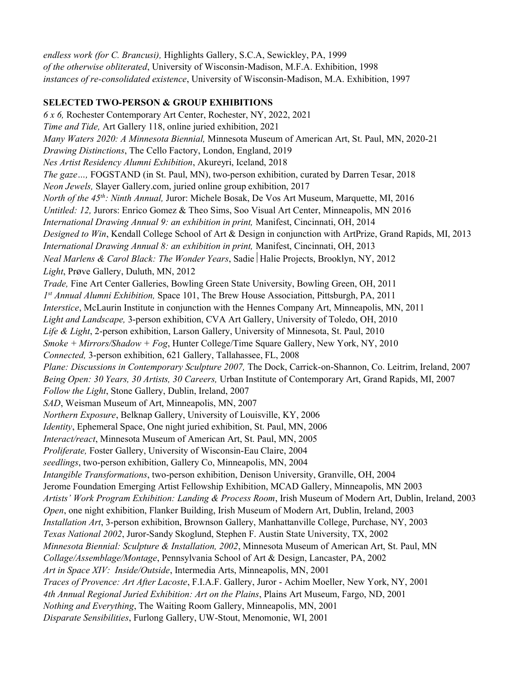*endless work (for C. Brancusi),* Highlights Gallery, S.C.A, Sewickley, PA, 1999 *of the otherwise obliterated*, University of Wisconsin-Madison, M.F.A. Exhibition, 1998 *instances of re-consolidated existence*, University of Wisconsin-Madison, M.A. Exhibition, 1997

## **SELECTED TWO-PERSON & GROUP EXHIBITIONS**

*6 x 6,* Rochester Contemporary Art Center, Rochester, NY, 2022, 2021 *Time and Tide,* Art Gallery 118, online juried exhibition, 2021 *Many Waters 2020: A Minnesota Biennial,* Minnesota Museum of American Art, St. Paul, MN, 2020-21 *Drawing Distinctions*, The Cello Factory, London, England, 2019 *Nes Artist Residency Alumni Exhibition*, Akureyri, Iceland, 2018 *The gaze…,* FOGSTAND (in St. Paul, MN), two-person exhibition, curated by Darren Tesar, 2018 *Neon Jewels,* Slayer Gallery.com, juried online group exhibition, 2017 *North of the 45th: Ninth Annual,* Juror: Michele Bosak, De Vos Art Museum, Marquette, MI, 2016 *Untitled: 12,* Jurors: Enrico Gomez & Theo Sims, Soo Visual Art Center, Minneapolis, MN 2016 *International Drawing Annual 9: an exhibition in print,* Manifest, Cincinnati, OH, 2014 *Designed to Win*, Kendall College School of Art & Design in conjunction with ArtPrize, Grand Rapids, MI, 2013 *International Drawing Annual 8: an exhibition in print,* Manifest, Cincinnati, OH, 2013 *Neal Marlens & Carol Black: The Wonder Years*, Sadie Halie Projects, Brooklyn, NY, 2012 *Light*, Prøve Gallery, Duluth, MN, 2012 *Trade,* Fine Art Center Galleries, Bowling Green State University, Bowling Green, OH, 2011 *1 st Annual Alumni Exhibition,* Space 101, The Brew House Association, Pittsburgh, PA, 2011 *Interstice*, McLaurin Institute in conjunction with the Hennes Company Art, Minneapolis, MN, 2011 *Light and Landscape,* 3-person exhibition, CVA Art Gallery, University of Toledo, OH, 2010 *Life & Light*, 2-person exhibition, Larson Gallery, University of Minnesota, St. Paul, 2010 *Smoke + Mirrors/Shadow + Fog*, Hunter College/Time Square Gallery, New York, NY, 2010 *Connected,* 3-person exhibition, 621 Gallery, Tallahassee, FL, 2008 *Plane: Discussions in Contemporary Sculpture 2007,* The Dock, Carrick-on-Shannon, Co. Leitrim, Ireland, 2007 *Being Open: 30 Years, 30 Artists, 30 Careers,* Urban Institute of Contemporary Art, Grand Rapids, MI, 2007 *Follow the Light*, Stone Gallery, Dublin, Ireland, 2007 *SAD*, Weisman Museum of Art, Minneapolis, MN, 2007 *Northern Exposure*, Belknap Gallery, University of Louisville, KY, 2006 *Identity*, Ephemeral Space, One night juried exhibition, St. Paul, MN, 2006 *Interact/react*, Minnesota Museum of American Art, St. Paul, MN, 2005 *Proliferate,* Foster Gallery, University of Wisconsin-Eau Claire, 2004 *seedlings*, two-person exhibition, Gallery Co, Minneapolis, MN, 2004 *Intangible Transformations*, two-person exhibition, Denison University, Granville, OH, 2004 Jerome Foundation Emerging Artist Fellowship Exhibition, MCAD Gallery, Minneapolis, MN 2003 *Artists' Work Program Exhibition: Landing & Process Room*, Irish Museum of Modern Art, Dublin, Ireland, 2003 *Open*, one night exhibition, Flanker Building, Irish Museum of Modern Art, Dublin, Ireland, 2003 *Installation Art*, 3-person exhibition, Brownson Gallery, Manhattanville College, Purchase, NY, 2003 *Texas National 2002*, Juror-Sandy Skoglund, Stephen F. Austin State University, TX, 2002 *Minnesota Biennial: Sculpture & Installation, 2002*, Minnesota Museum of American Art, St. Paul, MN *Collage/Assemblage/Montage*, Pennsylvania School of Art & Design, Lancaster, PA, 2002 *Art in Space XIV: Inside/Outside*, Intermedia Arts, Minneapolis, MN, 2001 *Traces of Provence: Art After Lacoste*, F.I.A.F. Gallery, Juror - Achim Moeller, New York, NY, 2001 *4th Annual Regional Juried Exhibition: Art on the Plains*, Plains Art Museum, Fargo, ND, 2001 *Nothing and Everything*, The Waiting Room Gallery, Minneapolis, MN, 2001 *Disparate Sensibilities*, Furlong Gallery, UW-Stout, Menomonie, WI, 2001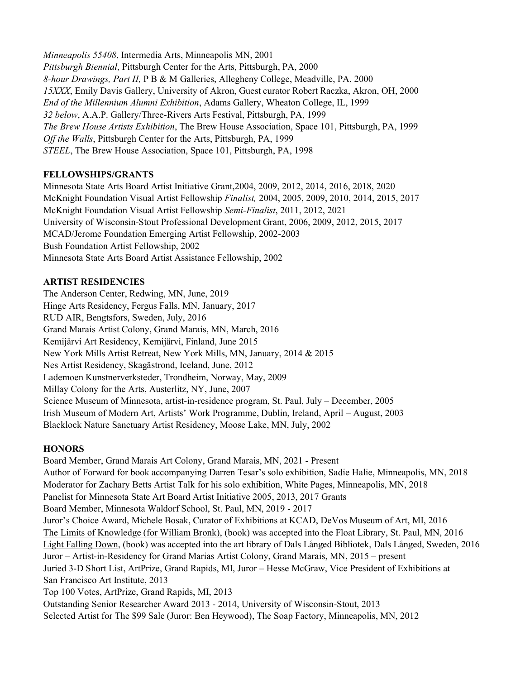*Minneapolis 55408*, Intermedia Arts, Minneapolis MN, 2001 *Pittsburgh Biennial*, Pittsburgh Center for the Arts, Pittsburgh, PA, 2000 *8-hour Drawings, Part II,* P B & M Galleries, Allegheny College, Meadville, PA, 2000 *15XXX*, Emily Davis Gallery, University of Akron, Guest curator Robert Raczka, Akron, OH, 2000 *End of the Millennium Alumni Exhibition*, Adams Gallery, Wheaton College, IL, 1999 *32 below*, A.A.P. Gallery/Three-Rivers Arts Festival, Pittsburgh, PA, 1999 *The Brew House Artists Exhibition*, The Brew House Association, Space 101, Pittsburgh, PA, 1999 *Off the Walls*, Pittsburgh Center for the Arts, Pittsburgh, PA, 1999 *STEEL*, The Brew House Association, Space 101, Pittsburgh, PA, 1998

## **FELLOWSHIPS/GRANTS**

Minnesota State Arts Board Artist Initiative Grant,2004, 2009, 2012, 2014, 2016, 2018, 2020 McKnight Foundation Visual Artist Fellowship *Finalist,* 2004, 2005, 2009, 2010, 2014, 2015, 2017 McKnight Foundation Visual Artist Fellowship *Semi-Finalist*, 2011, 2012, 2021 University of Wisconsin-Stout Professional Development Grant, 2006, 2009, 2012, 2015, 2017 MCAD/Jerome Foundation Emerging Artist Fellowship, 2002-2003 Bush Foundation Artist Fellowship, 2002 Minnesota State Arts Board Artist Assistance Fellowship, 2002

### **ARTIST RESIDENCIES**

The Anderson Center, Redwing, MN, June, 2019 Hinge Arts Residency, Fergus Falls, MN, January, 2017 RUD AIR, Bengtsfors, Sweden, July, 2016 Grand Marais Artist Colony, Grand Marais, MN, March, 2016 Kemijärvi Art Residency, Kemijärvi, Finland, June 2015 New York Mills Artist Retreat, New York Mills, MN, January, 2014 & 2015 Nes Artist Residency, Skagästrond, Iceland, June, 2012 Lademoen Kunstnerverksteder, Trondheim, Norway, May, 2009 Millay Colony for the Arts, Austerlitz, NY, June, 2007 Science Museum of Minnesota, artist-in-residence program, St. Paul, July – December, 2005 Irish Museum of Modern Art, Artists' Work Programme, Dublin, Ireland, April – August, 2003 Blacklock Nature Sanctuary Artist Residency, Moose Lake, MN, July, 2002

#### **HONORS**

Board Member, Grand Marais Art Colony, Grand Marais, MN, 2021 - Present Author of Forward for book accompanying Darren Tesar's solo exhibition, Sadie Halie, Minneapolis, MN, 2018 Moderator for Zachary Betts Artist Talk for his solo exhibition, White Pages, Minneapolis, MN, 2018 Panelist for Minnesota State Art Board Artist Initiative 2005, 2013, 2017 Grants Board Member, Minnesota Waldorf School, St. Paul, MN, 2019 - 2017 Juror's Choice Award, Michele Bosak, Curator of Exhibitions at KCAD, DeVos Museum of Art, MI, 2016 The Limits of Knowledge (for William Bronk), (book) was accepted into the Float Library, St. Paul, MN, 2016 Light Falling Down, (book) was accepted into the art library of Dals Långed Bibliotek, Dals Långed, Sweden, 2016 Juror – Artist-in-Residency for Grand Marias Artist Colony, Grand Marais, MN, 2015 – present Juried 3-D Short List, ArtPrize, Grand Rapids, MI, Juror – Hesse McGraw, Vice President of Exhibitions at San Francisco Art Institute, 2013 Top 100 Votes, ArtPrize, Grand Rapids, MI, 2013 Outstanding Senior Researcher Award 2013 - 2014, University of Wisconsin-Stout, 2013 Selected Artist for The \$99 Sale (Juror: Ben Heywood), The Soap Factory, Minneapolis, MN, 2012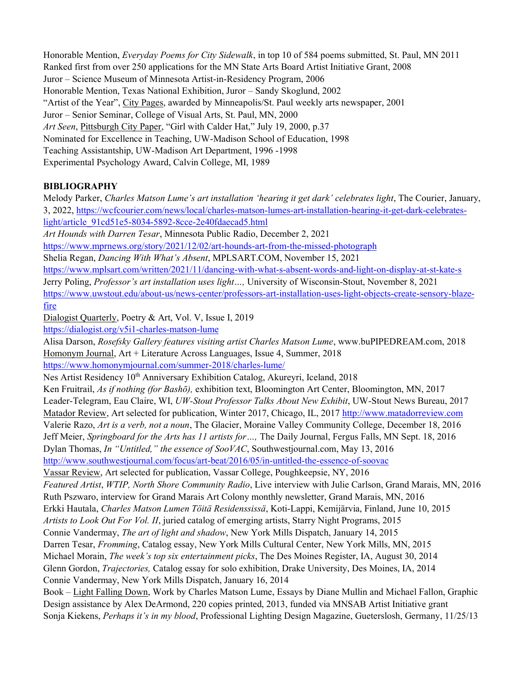Honorable Mention, *Everyday Poems for City Sidewalk*, in top 10 of 584 poems submitted, St. Paul, MN 2011 Ranked first from over 250 applications for the MN State Arts Board Artist Initiative Grant, 2008 Juror – Science Museum of Minnesota Artist-in-Residency Program, 2006 Honorable Mention, Texas National Exhibition, Juror – Sandy Skoglund, 2002 "Artist of the Year", City Pages, awarded by Minneapolis/St. Paul weekly arts newspaper, 2001 Juror – Senior Seminar, College of Visual Arts, St. Paul, MN, 2000 *Art Seen*, Pittsburgh City Paper, "Girl with Calder Hat," July 19, 2000, p.37 Nominated for Excellence in Teaching, UW-Madison School of Education, 1998 Teaching Assistantship, UW-Madison Art Department, 1996 -1998 Experimental Psychology Award, Calvin College, MI, 1989

# **BIBLIOGRAPHY**

Melody Parker, *Charles Matson Lume's art installation 'hearing it get dark' celebrates light*, The Courier, January, 3, 2022, [https://wcfcourier.com/news/local/charles-matson-lumes-art-installation-hearing-it-get-dark-celebrates](https://wcfcourier.com/news/local/charles-matson-lumes-art-installation-hearing-it-get-dark-celebrates-light/article_91cd51e5-8034-5892-8cce-2e40fdaecad5.html)[light/article\\_91cd51e5-8034-5892-8cce-2e40fdaecad5.html](https://wcfcourier.com/news/local/charles-matson-lumes-art-installation-hearing-it-get-dark-celebrates-light/article_91cd51e5-8034-5892-8cce-2e40fdaecad5.html) *Art Hounds with Darren Tesar*, Minnesota Public Radio, December 2, 2021 <https://www.mprnews.org/story/2021/12/02/art-hounds-art-from-the-missed-photograph> Shelia Regan, *Dancing With What's Absent*, MPLSART.COM, November 15, 2021 <https://www.mplsart.com/written/2021/11/dancing-with-what-s-absent-words-and-light-on-display-at-st-kate-s> Jerry Poling, *Professor's art installation uses light…,* University of Wisconsin-Stout, November 8, 2021 [https://www.uwstout.edu/about-us/news-center/professors-art-installation-uses-light-objects-create-sensory-blaze](https://www.uwstout.edu/about-us/news-center/professors-art-installation-uses-light-objects-create-sensory-blaze-fire)[fire](https://www.uwstout.edu/about-us/news-center/professors-art-installation-uses-light-objects-create-sensory-blaze-fire) Dialogist Quarterly, Poetry & Art, Vol. V, Issue I, 2019 <https://dialogist.org/v5i1-charles-matson-lume> Alisa Darson, *Rosefsky Gallery features visiting artist Charles Matson Lume*, www.buPIPEDREAM.com, 2018 Homonym Journal, Art + Literature Across Languages, Issue 4, Summer, 2018 <https://www.homonymjournal.com/summer-2018/charles-lume/> Nes Artist Residency 10<sup>th</sup> Anniversary Exhibition Catalog, Akureyri, Iceland, 2018 Ken Fruitrail, *As if nothing (for Bashō),* exhibition text, Bloomington Art Center, Bloomington, MN, 2017 Leader-Telegram, Eau Claire, WI, *UW-Stout Professor Talks About New Exhibit*, UW-Stout News Bureau, 2017 Matador Review, Art selected for publication, Winter 2017, Chicago, IL, 2017 [http://www.matadorreview.com](http://www.matadorreview.com/) Valerie Razo, *Art is a verb, not a noun*, The Glacier, Moraine Valley Community College, December 18, 2016 Jeff Meier, *Springboard for the Arts has 11 artists for…,* The Daily Journal, Fergus Falls, MN Sept. 18, 2016 Dylan Thomas, *In "Untitled," the essence of SooVAC*, Southwestjournal.com, May 13, 2016 <http://www.southwestjournal.com/focus/art-beat/2016/05/in-untitled-the-essence-of-soovac> Vassar Review, Art selected for publication, Vassar College, Poughkeepsie, NY, 2016 *Featured Artist*, *WTIP, North Shore Community Radio*, Live interview with Julie Carlson, Grand Marais, MN, 2016 Ruth Pszwaro, interview for Grand Marais Art Colony monthly newsletter, Grand Marais, MN, 2016 Erkki Hautala, *Charles Matson Lumen Töitä Residenssissä*, Koti-Lappi, Kemijärvia, Finland, June 10, 2015 *Artists to Look Out For Vol. II*, juried catalog of emerging artists, Starry Night Programs, 2015 Connie Vandermay, *The art of light and shadow*, New York Mills Dispatch, January 14, 2015 Darren Tesar, *Fromming*, Catalog essay, New York Mills Cultural Center, New York Mills, MN, 2015 Michael Morain, *The week's top six entertainment picks*, The Des Moines Register, IA, August 30, 2014 Glenn Gordon, *Trajectories,* Catalog essay for solo exhibition, Drake University, Des Moines, IA, 2014 Connie Vandermay, New York Mills Dispatch, January 16, 2014 Book – Light Falling Down, Work by Charles Matson Lume, Essays by Diane Mullin and Michael Fallon, Graphic Design assistance by Alex DeArmond, 220 copies printed, 2013, funded via MNSAB Artist Initiative grant Sonja Kiekens, *Perhaps it's in my blood*, Professional Lighting Design Magazine, Gueterslosh, Germany, 11/25/13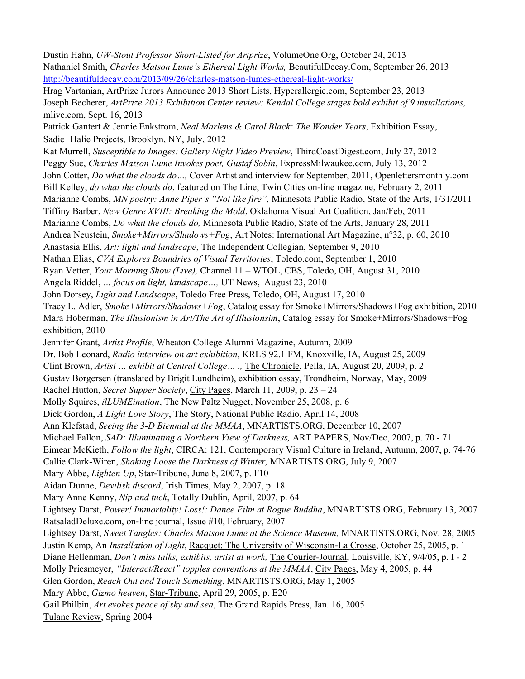Dustin Hahn, *UW-Stout Professor Short-Listed for Artprize*, VolumeOne.Org, October 24, 2013 Nathaniel Smith, *Charles Matson Lume's Ethereal Light Works,* BeautifulDecay.Com, September 26, 2013 <http://beautifuldecay.com/2013/09/26/charles-matson-lumes-ethereal-light-works/>

Hrag Vartanian, ArtPrize Jurors Announce 2013 Short Lists, Hyperallergic.com, September 23, 2013 Joseph Becherer, *ArtPrize 2013 Exhibition Center review: Kendal College stages bold exhibit of 9 installations,* mlive.com, Sept. 16, 2013

Patrick Gantert & Jennie Enkstrom, *Neal Marlens & Carol Black: The Wonder Years*, Exhibition Essay, Sadie Halie Projects, Brooklyn, NY, July, 2012

Kat Murrell, *Susceptible to Images: Gallery Night Video Preview*, ThirdCoastDigest.com, July 27, 2012 Peggy Sue, *Charles Matson Lume Invokes poet, Gustaf Sobin*, ExpressMilwaukee.com, July 13, 2012 John Cotter, *Do what the clouds do…,* Cover Artist and interview for September, 2011, Openlettersmonthly.com Bill Kelley, *do what the clouds do*, featured on The Line, Twin Cities on-line magazine, February 2, 2011 Marianne Combs, *MN poetry: Anne Piper's "Not like fire",* Minnesota Public Radio, State of the Arts, 1/31/2011 Tiffiny Barber, *New Genre XVIII: Breaking the Mold*, Oklahoma Visual Art Coalition, Jan/Feb, 2011 Marianne Combs, *Do what the clouds do,* Minnesota Public Radio, State of the Arts, January 28, 2011 Andrea Neustein, *Smoke+Mirrors/Shadows+Fog*, Art Notes: International Art Magazine, n°32, p. 60, 2010 Anastasia Ellis, *Art: light and landscape*, The Independent Collegian, September 9, 2010 Nathan Elias, *CVA Explores Boundries of Visual Territories*, Toledo.com, September 1, 2010 Ryan Vetter, *Your Morning Show (Live),* Channel 11 – WTOL, CBS, Toledo, OH, August 31, 2010 Angela Riddel, *… focus on light, landscape…,* UT News, August 23, 2010 John Dorsey, *Light and Landscape*, Toledo Free Press, Toledo, OH, August 17, 2010 Tracy L. Adler, *Smoke+Mirrors/Shadows+Fog*, Catalog essay for Smoke+Mirrors/Shadows+Fog exhibition, 2010 Mara Hoberman, *The Illusionism in Art/The Art of Illusionsim*, Catalog essay for Smoke+Mirrors/Shadows+Fog exhibition, 2010 Jennifer Grant, *Artist Profile*, Wheaton College Alumni Magazine, Autumn, 2009 Dr. Bob Leonard, *Radio interview on art exhibition*, KRLS 92.1 FM, Knoxville, IA, August 25, 2009 Clint Brown, *Artist … exhibit at Central College… .,* The Chronicle, Pella, IA, August 20, 2009, p. 2 Gustav Borgersen (translated by Brigit Lundheim), exhibition essay, Trondheim, Norway, May, 2009

Rachel Hutton, *Secret Supper Society*, City Pages, March 11, 2009, p. 23 – 24

Molly Squires, *ilLUMEination*, The New Paltz Nugget, November 25, 2008, p. 6

Dick Gordon, *A Light Love Story*, The Story, National Public Radio, April 14, 2008

Ann Klefstad, *Seeing the 3-D Biennial at the MMAA*, MNARTISTS.ORG, December 10, 2007

Michael Fallon, *SAD: Illuminating a Northern View of Darkness,* ART PAPERS, Nov/Dec, 2007, p. 70 - 71

Eimear McKieth, *Follow the light*, CIRCA: 121, Contemporary Visual Culture in Ireland, Autumn, 2007, p. 74-76

Callie Clark-Wiren, *Shaking Loose the Darkness of Winter,* MNARTISTS.ORG, July 9, 2007

Mary Abbe, *Lighten Up*, Star-Tribune, June 8, 2007, p. F10

Aidan Dunne, *Devilish discord*, Irish Times, May 2, 2007, p. 18

Mary Anne Kenny, *Nip and tuck*, Totally Dublin, April, 2007, p. 64

Lightsey Darst, *Power! Immortality! Loss!: Dance Film at Rogue Buddha*, MNARTISTS.ORG, February 13, 2007 RatsaladDeluxe.com, on-line journal, Issue #10, February, 2007

Lightsey Darst, *Sweet Tangles: Charles Matson Lume at the Science Museum,* MNARTISTS.ORG, Nov. 28, 2005 Justin Kemp, An *Installation of Light*, Racquet: The University of Wisconsin-La Crosse, October 25, 2005, p. 1 Diane Hellenman, *Don't miss talks, exhibits, artist at work,* The Courier-Journal, Louisville, KY, 9/4/05, p. I - 2

Molly Priesmeyer, *"Interact/React" topples conventions at the MMAA*, City Pages, May 4, 2005, p. 44

Glen Gordon, *Reach Out and Touch Something*, MNARTISTS.ORG, May 1, 2005

Mary Abbe, *Gizmo heaven*, Star-Tribune, April 29, 2005, p. E20

Gail Philbin, *Art evokes peace of sky and sea*, The Grand Rapids Press, Jan. 16, 2005

Tulane Review, Spring 2004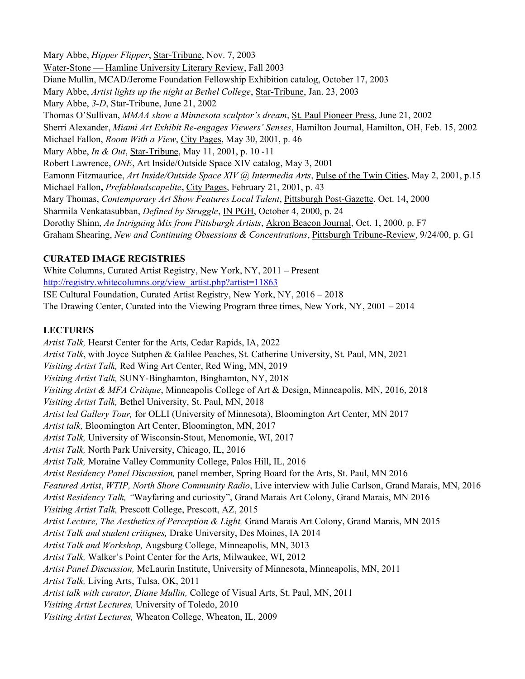Mary Abbe, *Hipper Flipper*, Star-Tribune, Nov. 7, 2003 Water-Stone — Hamline University Literary Review, Fall 2003 Diane Mullin, MCAD/Jerome Foundation Fellowship Exhibition catalog, October 17, 2003 Mary Abbe, *Artist lights up the night at Bethel College*, Star-Tribune, Jan. 23, 2003 Mary Abbe, *3-D*, Star-Tribune, June 21, 2002 Thomas O'Sullivan, *MMAA show a Minnesota sculptor's dream*, St. Paul Pioneer Press, June 21, 2002 Sherri Alexander, *Miami Art Exhibit Re-engages Viewers' Senses*, Hamilton Journal, Hamilton, OH, Feb. 15, 2002 Michael Fallon, *Room With a View*, City Pages, May 30, 2001, p. 46 Mary Abbe, *In & Out*, Star-Tribune, May 11, 2001, p. 10 -11 Robert Lawrence, *ONE*, Art Inside/Outside Space XIV catalog, May 3, 2001 Eamonn Fitzmaurice, *Art Inside/Outside Space XIV @ Intermedia Arts*, Pulse of the Twin Cities, May 2, 2001, p.15 Michael Fallon**,** *Prefablandscapelite***,** City Pages, February 21, 2001, p. 43 Mary Thomas, *Contemporary Art Show Features Local Talent*, Pittsburgh Post-Gazette, Oct. 14, 2000 Sharmila Venkatasubban, *Defined by Struggle*, IN PGH, October 4, 2000, p. 24 Dorothy Shinn, *An Intriguing Mix from Pittsburgh Artists*, Akron Beacon Journal, Oct. 1, 2000, p. F7 Graham Shearing, *New and Continuing Obsessions & Concentrations*, Pittsburgh Tribune-Review, 9/24/00, p. G1

## **CURATED IMAGE REGISTRIES**

White Columns, Curated Artist Registry, New York, NY, 2011 – Present [http://registry.whitecolumns.org/view\\_artist.php?artist=11863](http://registry.whitecolumns.org/view_artist.php?artist=11863) ISE Cultural Foundation, Curated Artist Registry, New York, NY, 2016 – 2018 The Drawing Center, Curated into the Viewing Program three times, New York, NY, 2001 – 2014

## **LECTURES**

*Artist Talk,* Hearst Center for the Arts, Cedar Rapids, IA, 2022 *Artist Talk*, with Joyce Sutphen & Galilee Peaches, St. Catherine University, St. Paul, MN, 2021 *Visiting Artist Talk,* Red Wing Art Center, Red Wing, MN, 2019 *Visiting Artist Talk,* SUNY-Binghamton, Binghamton, NY, 2018 *Visiting Artist & MFA Critique*, Minneapolis College of Art & Design, Minneapolis, MN, 2016, 2018 *Visiting Artist Talk,* Bethel University, St. Paul, MN, 2018 *Artist led Gallery Tour,* for OLLI (University of Minnesota), Bloomington Art Center, MN 2017 *Artist talk,* Bloomington Art Center, Bloomington, MN, 2017 *Artist Talk,* University of Wisconsin-Stout, Menomonie, WI, 2017 *Artist Talk,* North Park University, Chicago, IL, 2016 *Artist Talk,* Moraine Valley Community College, Palos Hill, IL, 2016 *Artist Residency Panel Discussion,* panel member, Spring Board for the Arts, St. Paul, MN 2016 *Featured Artist*, *WTIP, North Shore Community Radio*, Live interview with Julie Carlson, Grand Marais, MN, 2016 *Artist Residency Talk, "*Wayfaring and curiosity", Grand Marais Art Colony, Grand Marais, MN 2016 *Visiting Artist Talk,* Prescott College, Prescott, AZ, 2015 *Artist Lecture, The Aesthetics of Perception & Light,* Grand Marais Art Colony, Grand Marais, MN 2015 *Artist Talk and student critiques,* Drake University, Des Moines, IA 2014 *Artist Talk and Workshop,* Augsburg College, Minneapolis, MN, 3013 *Artist Talk,* Walker's Point Center for the Arts, Milwaukee, WI, 2012 *Artist Panel Discussion,* McLaurin Institute, University of Minnesota, Minneapolis, MN, 2011 *Artist Talk,* Living Arts, Tulsa, OK, 2011 *Artist talk with curator, Diane Mullin,* College of Visual Arts, St. Paul, MN, 2011 *Visiting Artist Lectures,* University of Toledo, 2010 *Visiting Artist Lectures,* Wheaton College, Wheaton, IL, 2009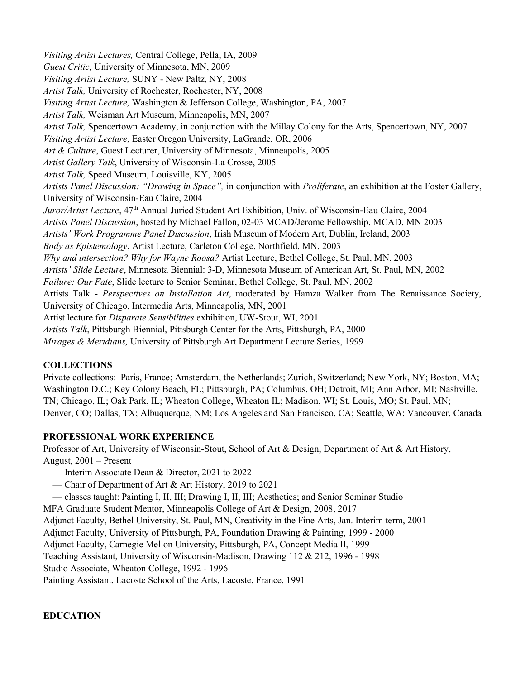*Visiting Artist Lectures,* Central College, Pella, IA, 2009 *Guest Critic,* University of Minnesota, MN, 2009 *Visiting Artist Lecture,* SUNY - New Paltz, NY, 2008 *Artist Talk,* University of Rochester, Rochester, NY, 2008 *Visiting Artist Lecture,* Washington & Jefferson College, Washington, PA, 2007 *Artist Talk,* Weisman Art Museum, Minneapolis, MN, 2007 *Artist Talk,* Spencertown Academy, in conjunction with the Millay Colony for the Arts, Spencertown, NY, 2007 *Visiting Artist Lecture,* Easter Oregon University, LaGrande, OR, 2006 *Art & Culture*, Guest Lecturer, University of Minnesota, Minneapolis, 2005 *Artist Gallery Talk*, University of Wisconsin-La Crosse, 2005 *Artist Talk,* Speed Museum, Louisville, KY, 2005 *Artists Panel Discussion: "Drawing in Space",* in conjunction with *Proliferate*, an exhibition at the Foster Gallery, University of Wisconsin-Eau Claire, 2004 *Juror/Artist Lecture*, 47<sup>th</sup> Annual Juried Student Art Exhibition, Univ. of Wisconsin-Eau Claire, 2004 *Artists Panel Discussion*, hosted by Michael Fallon, 02-03 MCAD/Jerome Fellowship, MCAD, MN 2003 *Artists' Work Programme Panel Discussion*, Irish Museum of Modern Art, Dublin, Ireland, 2003 *Body as Epistemology*, Artist Lecture, Carleton College, Northfield, MN, 2003 *Why and intersection? Why for Wayne Roosa?* Artist Lecture, Bethel College, St. Paul, MN, 2003 *Artists' Slide Lecture*, Minnesota Biennial: 3-D, Minnesota Museum of American Art, St. Paul, MN, 2002 *Failure: Our Fate*, Slide lecture to Senior Seminar, Bethel College, St. Paul, MN, 2002 Artists Talk - *Perspectives on Installation Art*, moderated by Hamza Walker from The Renaissance Society, University of Chicago, Intermedia Arts, Minneapolis, MN, 2001 Artist lecture for *Disparate Sensibilities* exhibition, UW-Stout, WI, 2001 *Artists Talk*, Pittsburgh Biennial, Pittsburgh Center for the Arts, Pittsburgh, PA, 2000 *Mirages & Meridians,* University of Pittsburgh Art Department Lecture Series, 1999

# **COLLECTIONS**

Private collections: Paris, France; Amsterdam, the Netherlands; Zurich, Switzerland; New York, NY; Boston, MA; Washington D.C.; Key Colony Beach, FL; Pittsburgh, PA; Columbus, OH; Detroit, MI; Ann Arbor, MI; Nashville, TN; Chicago, IL; Oak Park, IL; Wheaton College, Wheaton IL; Madison, WI; St. Louis, MO; St. Paul, MN; Denver, CO; Dallas, TX; Albuquerque, NM; Los Angeles and San Francisco, CA; Seattle, WA; Vancouver, Canada

## **PROFESSIONAL WORK EXPERIENCE**

Professor of Art, University of Wisconsin-Stout, School of Art & Design, Department of Art & Art History, August, 2001 – Present

- Interim Associate Dean & Director, 2021 to 2022
- Chair of Department of Art & Art History, 2019 to 2021
- classes taught: Painting I, II, III; Drawing I, II, III; Aesthetics; and Senior Seminar Studio

MFA Graduate Student Mentor, Minneapolis College of Art & Design, 2008, 2017

Adjunct Faculty, Bethel University, St. Paul, MN, Creativity in the Fine Arts, Jan. Interim term, 2001

Adjunct Faculty, University of Pittsburgh, PA, Foundation Drawing & Painting, 1999 - 2000

Adjunct Faculty, Carnegie Mellon University, Pittsburgh, PA, Concept Media II, 1999

Teaching Assistant, University of Wisconsin-Madison, Drawing 112 & 212, 1996 - 1998

Studio Associate, Wheaton College, 1992 - 1996

Painting Assistant, Lacoste School of the Arts, Lacoste, France, 1991

**EDUCATION**